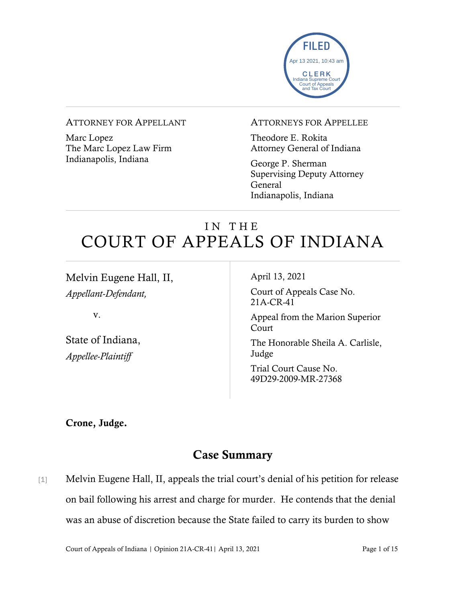

#### ATTORNEY FOR APPELLANT

Marc Lopez The Marc Lopez Law Firm Indianapolis, Indiana

### ATTORNEYS FOR APPELLEE

Theodore E. Rokita Attorney General of Indiana

George P. Sherman Supervising Deputy Attorney General Indianapolis, Indiana

# IN THE COURT OF APPEALS OF INDIANA

Melvin Eugene Hall, II, *Appellant-Defendant,*

v.

State of Indiana, *Appellee-Plaintiff*

April 13, 2021

Court of Appeals Case No. 21A-CR-41

Appeal from the Marion Superior Court

The Honorable Sheila A. Carlisle, Judge

Trial Court Cause No. 49D29-2009-MR-27368

Crone, Judge.

# Case Summary

[1] Melvin Eugene Hall, II, appeals the trial court's denial of his petition for release on bail following his arrest and charge for murder. He contends that the denial was an abuse of discretion because the State failed to carry its burden to show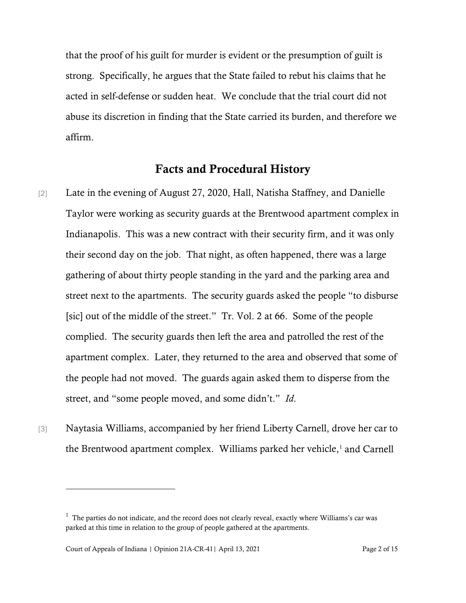that the proof of his guilt for murder is evident or the presumption of guilt is strong. Specifically, he argues that the State failed to rebut his claims that he acted in self-defense or sudden heat. We conclude that the trial court did not abuse its discretion in finding that the State carried its burden, and therefore we affirm.

### Facts and Procedural History

- [2] Late in the evening of August 27, 2020, Hall, Natisha Staffney, and Danielle Taylor were working as security guards at the Brentwood apartment complex in Indianapolis. This was a new contract with their security firm, and it was only their second day on the job. That night, as often happened, there was a large gathering of about thirty people standing in the yard and the parking area and street next to the apartments. The security guards asked the people "to disburse [sic] out of the middle of the street." Tr. Vol. 2 at 66. Some of the people complied. The security guards then left the area and patrolled the rest of the apartment complex. Later, they returned to the area and observed that some of the people had not moved. The guards again asked them to disperse from the street, and "some people moved, and some didn't." *Id*.
- [3] Naytasia Williams, accompanied by her friend Liberty Carnell, drove her car to the Brentwood apartment complex. Williams parked her vehicle, $<sup>1</sup>$  $<sup>1</sup>$  $<sup>1</sup>$  and Carnell</sup>

<span id="page-1-0"></span> $1$  The parties do not indicate, and the record does not clearly reveal, exactly where Williams's car was parked at this time in relation to the group of people gathered at the apartments.

Court of Appeals of Indiana | Opinion 21A-CR-41| April 13, 2021 Page 2 of 15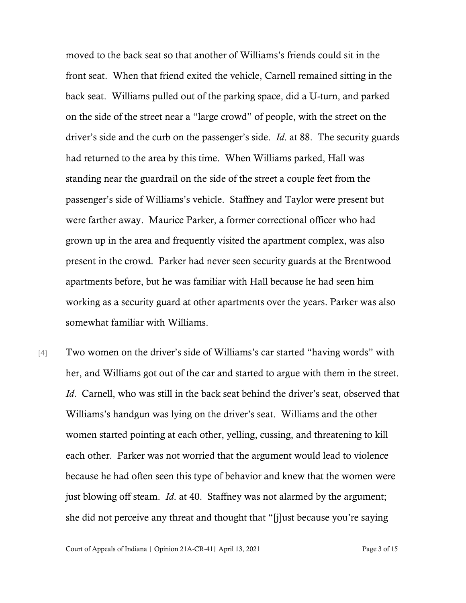moved to the back seat so that another of Williams's friends could sit in the front seat. When that friend exited the vehicle, Carnell remained sitting in the back seat. Williams pulled out of the parking space, did a U-turn, and parked on the side of the street near a "large crowd" of people, with the street on the driver's side and the curb on the passenger's side. *Id*. at 88. The security guards had returned to the area by this time. When Williams parked, Hall was standing near the guardrail on the side of the street a couple feet from the passenger's side of Williams's vehicle. Staffney and Taylor were present but were farther away. Maurice Parker, a former correctional officer who had grown up in the area and frequently visited the apartment complex, was also present in the crowd. Parker had never seen security guards at the Brentwood apartments before, but he was familiar with Hall because he had seen him working as a security guard at other apartments over the years. Parker was also somewhat familiar with Williams.

[4] Two women on the driver's side of Williams's car started "having words" with her, and Williams got out of the car and started to argue with them in the street. *Id*. Carnell, who was still in the back seat behind the driver's seat, observed that Williams's handgun was lying on the driver's seat. Williams and the other women started pointing at each other, yelling, cussing, and threatening to kill each other. Parker was not worried that the argument would lead to violence because he had often seen this type of behavior and knew that the women were just blowing off steam. *Id*. at 40. Staffney was not alarmed by the argument; she did not perceive any threat and thought that "[j]ust because you're saying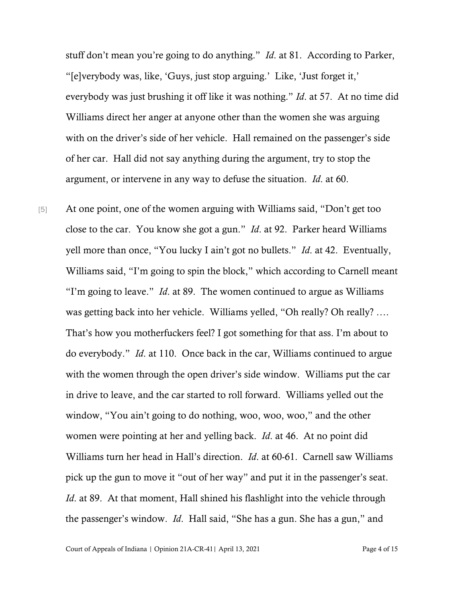stuff don't mean you're going to do anything." *Id*. at 81. According to Parker, "[e]verybody was, like, 'Guys, just stop arguing.' Like, 'Just forget it,' everybody was just brushing it off like it was nothing." *Id*. at 57. At no time did Williams direct her anger at anyone other than the women she was arguing with on the driver's side of her vehicle. Hall remained on the passenger's side of her car. Hall did not say anything during the argument, try to stop the argument, or intervene in any way to defuse the situation. *Id*. at 60.

[5] At one point, one of the women arguing with Williams said, "Don't get too close to the car. You know she got a gun." *Id*. at 92. Parker heard Williams yell more than once, "You lucky I ain't got no bullets." *Id*. at 42. Eventually, Williams said, "I'm going to spin the block," which according to Carnell meant "I'm going to leave." *Id*. at 89. The women continued to argue as Williams was getting back into her vehicle. Williams yelled, "Oh really? Oh really? …. That's how you motherfuckers feel? I got something for that ass. I'm about to do everybody." *Id*. at 110. Once back in the car, Williams continued to argue with the women through the open driver's side window. Williams put the car in drive to leave, and the car started to roll forward. Williams yelled out the window, "You ain't going to do nothing, woo, woo, woo," and the other women were pointing at her and yelling back. *Id*. at 46. At no point did Williams turn her head in Hall's direction. *Id*. at 60-61. Carnell saw Williams pick up the gun to move it "out of her way" and put it in the passenger's seat. *Id.* at 89. At that moment, Hall shined his flashlight into the vehicle through the passenger's window. *Id*. Hall said, "She has a gun. She has a gun," and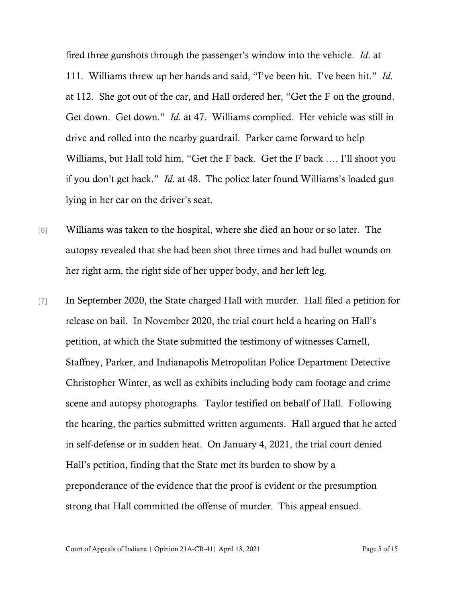fired three gunshots through the passenger's window into the vehicle. *Id*. at 111. Williams threw up her hands and said, "I've been hit. I've been hit." *Id*. at 112. She got out of the car, and Hall ordered her, "Get the F on the ground. Get down. Get down." *Id*. at 47. Williams complied. Her vehicle was still in drive and rolled into the nearby guardrail. Parker came forward to help Williams, but Hall told him, "Get the F back. Get the F back …. I'll shoot you if you don't get back." *Id*. at 48. The police later found Williams's loaded gun lying in her car on the driver's seat.

- [6] Williams was taken to the hospital, where she died an hour or so later. The autopsy revealed that she had been shot three times and had bullet wounds on her right arm, the right side of her upper body, and her left leg.
- [7] In September 2020, the State charged Hall with murder. Hall filed a petition for release on bail. In November 2020, the trial court held a hearing on Hall's petition, at which the State submitted the testimony of witnesses Carnell, Staffney, Parker, and Indianapolis Metropolitan Police Department Detective Christopher Winter, as well as exhibits including body cam footage and crime scene and autopsy photographs. Taylor testified on behalf of Hall. Following the hearing, the parties submitted written arguments. Hall argued that he acted in self-defense or in sudden heat. On January 4, 2021, the trial court denied Hall's petition, finding that the State met its burden to show by a preponderance of the evidence that the proof is evident or the presumption strong that Hall committed the offense of murder. This appeal ensued.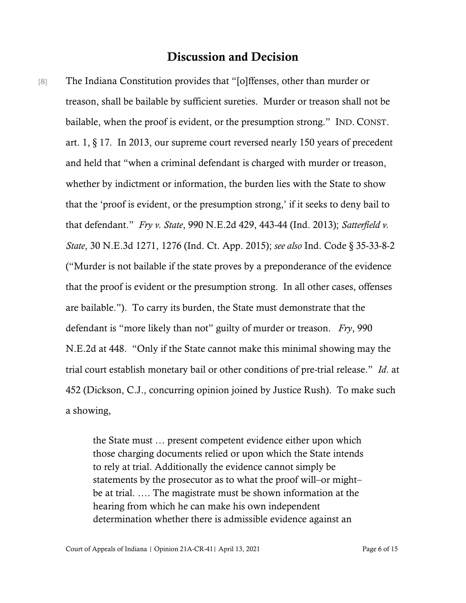## Discussion and Decision

[8] The Indiana Constitution provides that "[o]ffenses, other than murder or treason, shall be bailable by sufficient sureties. Murder or treason shall not be bailable, when the proof is evident, or the presumption strong." IND. CONST. art. 1, § 17. In 2013, our supreme court reversed nearly 150 years of precedent and held that "when a criminal defendant is charged with murder or treason, whether by indictment or information, the burden lies with the State to show that the 'proof is evident, or the presumption strong,' if it seeks to deny bail to that defendant." *Fry v. State*, 990 N.E.2d 429, 443-44 (Ind. 2013); *Satterfield v. State*, 30 N.E.3d 1271, 1276 (Ind. Ct. App. 2015); *see also* Ind. Code § 35-33-8-2 ("Murder is not bailable if the state proves by a preponderance of the evidence that the proof is evident or the presumption strong. In all other cases, offenses are bailable."). To carry its burden, the State must demonstrate that the defendant is "more likely than not" guilty of murder or treason. *Fry*, 990 N.E.2d at 448. "Only if the State cannot make this minimal showing may the trial court establish monetary bail or other conditions of pre-trial release." *Id*. at 452 (Dickson, C.J., concurring opinion joined by Justice Rush). To make such a showing,

> the State must … present competent evidence either upon which those charging documents relied or upon which the State intends to rely at trial. Additionally the evidence cannot simply be statements by the prosecutor as to what the proof will–or might– be at trial. …. The magistrate must be shown information at the hearing from which he can make his own independent determination whether there is admissible evidence against an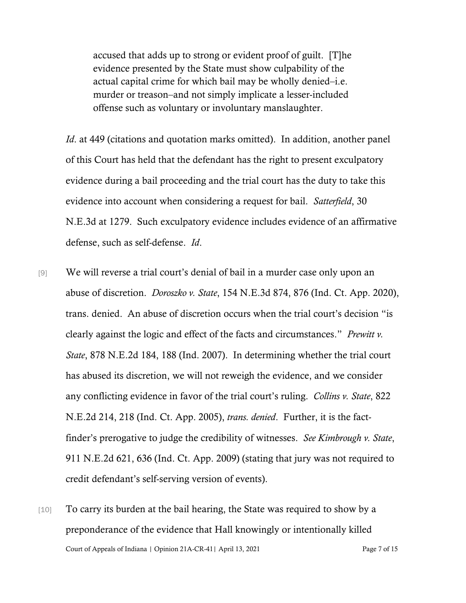accused that adds up to strong or evident proof of guilt. [T]he evidence presented by the State must show culpability of the actual capital crime for which bail may be wholly denied–i.e. murder or treason–and not simply implicate a lesser-included offense such as voluntary or involuntary manslaughter.

*Id.* at 449 (citations and quotation marks omitted). In addition, another panel of this Court has held that the defendant has the right to present exculpatory evidence during a bail proceeding and the trial court has the duty to take this evidence into account when considering a request for bail. *Satterfield*, 30 N.E.3d at 1279. Such exculpatory evidence includes evidence of an affirmative defense, such as self-defense. *Id*.

- [9] We will reverse a trial court's denial of bail in a murder case only upon an abuse of discretion. *Doroszko v. State*, 154 N.E.3d 874, 876 (Ind. Ct. App. 2020), trans. denied. An abuse of discretion occurs when the trial court's decision "is clearly against the logic and effect of the facts and circumstances." *Prewitt v. State*, 878 N.E.2d 184, 188 (Ind. 2007). In determining whether the trial court has abused its discretion, we will not reweigh the evidence, and we consider any conflicting evidence in favor of the trial court's ruling. *Collins v. State*, 822 N.E.2d 214, 218 (Ind. Ct. App. 2005), *trans. denied*. Further, it is the factfinder's prerogative to judge the credibility of witnesses. *See Kimbrough v. State*, 911 N.E.2d 621, 636 (Ind. Ct. App. 2009) (stating that jury was not required to credit defendant's self-serving version of events).
- Court of Appeals of Indiana | Opinion 21A-CR-41| April 13, 2021 Page 7 of 15 [10] To carry its burden at the bail hearing, the State was required to show by a preponderance of the evidence that Hall knowingly or intentionally killed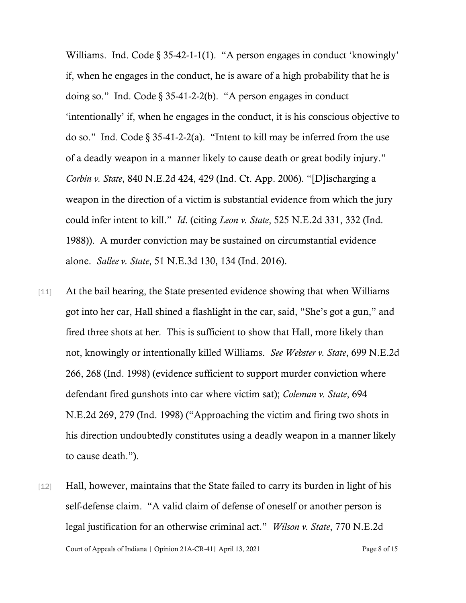Williams. Ind. Code § 35-42-1-1(1). "A person engages in conduct 'knowingly' if, when he engages in the conduct, he is aware of a high probability that he is doing so." Ind. Code  $\S 35-41-2-2(b)$ . "A person engages in conduct 'intentionally' if, when he engages in the conduct, it is his conscious objective to do so." Ind. Code § 35-41-2-2(a). "Intent to kill may be inferred from the use of a deadly weapon in a manner likely to cause death or great bodily injury." *Corbin v. State*, 840 N.E.2d 424, 429 (Ind. Ct. App. 2006). "[D]ischarging a weapon in the direction of a victim is substantial evidence from which the jury could infer intent to kill." *Id*. (citing *Leon v. State*, 525 N.E.2d 331, 332 (Ind. 1988)). A murder conviction may be sustained on circumstantial evidence alone. *Sallee v. State*, 51 N.E.3d 130, 134 (Ind. 2016).

- [11] At the bail hearing, the State presented evidence showing that when Williams got into her car, Hall shined a flashlight in the car, said, "She's got a gun," and fired three shots at her. This is sufficient to show that Hall, more likely than not, knowingly or intentionally killed Williams. *See Webster v. State*, 699 N.E.2d 266, 268 (Ind. 1998) (evidence sufficient to support murder conviction where defendant fired gunshots into car where victim sat); *Coleman v. State*, 694 N.E.2d 269, 279 (Ind. 1998) ("Approaching the victim and firing two shots in his direction undoubtedly constitutes using a deadly weapon in a manner likely to cause death.").
- Court of Appeals of Indiana | Opinion 21A-CR-41| April 13, 2021 Page 8 of 15 [12] Hall, however, maintains that the State failed to carry its burden in light of his self-defense claim. "A valid claim of defense of oneself or another person is legal justification for an otherwise criminal act." *Wilson v. State*, 770 N.E.2d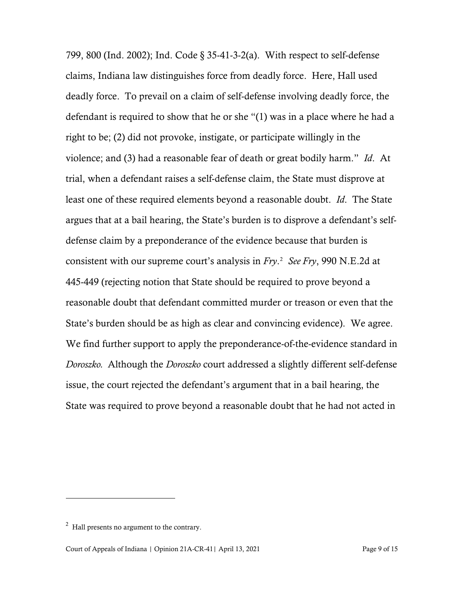799, 800 (Ind. 2002); Ind. Code § 35-41-3-2(a). With respect to self-defense claims, Indiana law distinguishes force from deadly force. Here, Hall used deadly force. To prevail on a claim of self-defense involving deadly force, the defendant is required to show that he or she "(1) was in a place where he had a right to be; (2) did not provoke, instigate, or participate willingly in the violence; and (3) had a reasonable fear of death or great bodily harm." *Id*. At trial, when a defendant raises a self-defense claim, the State must disprove at least one of these required elements beyond a reasonable doubt. *Id*. The State argues that at a bail hearing, the State's burden is to disprove a defendant's selfdefense claim by a preponderance of the evidence because that burden is consistent with our supreme court's analysis in *Fry*. [2](#page-8-0) *See Fry*, 990 N.E.2d at 445-449 (rejecting notion that State should be required to prove beyond a reasonable doubt that defendant committed murder or treason or even that the State's burden should be as high as clear and convincing evidence). We agree. We find further support to apply the preponderance-of-the-evidence standard in *Doroszko.* Although the *Doroszko* court addressed a slightly different self-defense issue, the court rejected the defendant's argument that in a bail hearing, the State was required to prove beyond a reasonable doubt that he had not acted in

<span id="page-8-0"></span> $2$  Hall presents no argument to the contrary.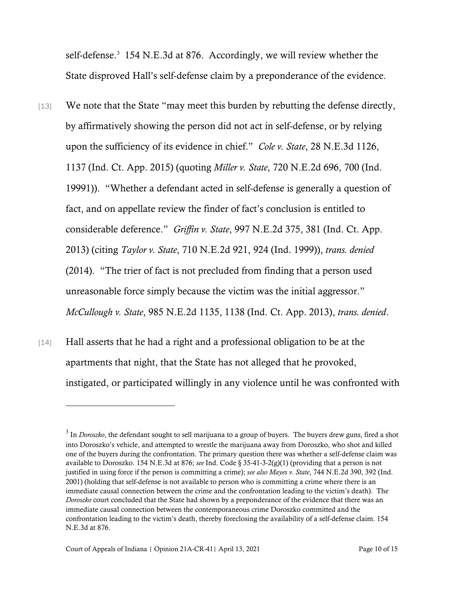self-defense.<sup>[3](#page-9-0)</sup> 154 N.E.3d at 876. Accordingly, we will review whether the State disproved Hall's self-defense claim by a preponderance of the evidence.

- [13] We note that the State "may meet this burden by rebutting the defense directly, by affirmatively showing the person did not act in self-defense, or by relying upon the sufficiency of its evidence in chief." *Cole v. State*, 28 N.E.3d 1126, 1137 (Ind. Ct. App. 2015) (quoting *Miller v. State*, 720 N.E.2d 696, 700 (Ind. 19991)). "Whether a defendant acted in self-defense is generally a question of fact, and on appellate review the finder of fact's conclusion is entitled to considerable deference." *Griffin v. State*, 997 N.E.2d 375, 381 (Ind. Ct. App. 2013) (citing *Taylor v. State*, 710 N.E.2d 921, 924 (Ind. 1999)), *trans. denied* (2014). "The trier of fact is not precluded from finding that a person used unreasonable force simply because the victim was the initial aggressor." *McCullough v. State*, 985 N.E.2d 1135, 1138 (Ind. Ct. App. 2013), *trans. denied*.
- [14] Hall asserts that he had a right and a professional obligation to be at the apartments that night, that the State has not alleged that he provoked, instigated, or participated willingly in any violence until he was confronted with

<span id="page-9-0"></span><sup>3</sup> In *Doroszko*, the defendant sought to sell marijuana to a group of buyers. The buyers drew guns, fired a shot into Doroszko's vehicle, and attempted to wrestle the marijuana away from Doroszko, who shot and killed one of the buyers during the confrontation. The primary question there was whether a self-defense claim was available to Doroszko. 154 N.E.3d at 876; *see* Ind. Code § 35-41-3-2(g)(1) (providing that a person is not justified in using force if the person is committing a crime); *see also Mayes v. State*, 744 N.E.2d 390, 392 (Ind. 2001) (holding that self-defense is not available to person who is committing a crime where there is an immediate causal connection between the crime and the confrontation leading to the victim's death). The *Doroszko* court concluded that the State had shown by a preponderance of the evidence that there was an immediate causal connection between the contemporaneous crime Doroszko committed and the confrontation leading to the victim's death, thereby foreclosing the availability of a self-defense claim. 154 N.E.3d at 876.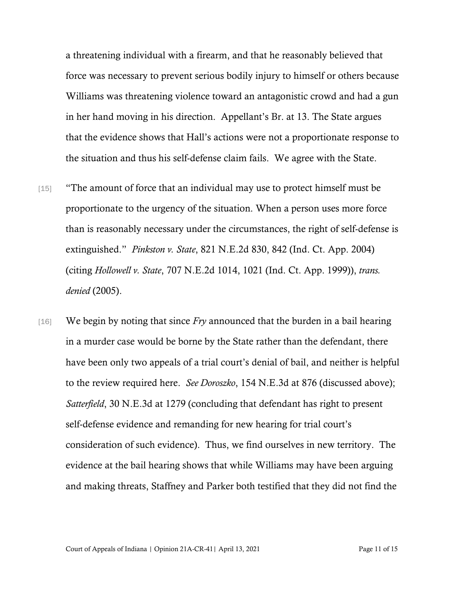a threatening individual with a firearm, and that he reasonably believed that force was necessary to prevent serious bodily injury to himself or others because Williams was threatening violence toward an antagonistic crowd and had a gun in her hand moving in his direction. Appellant's Br. at 13. The State argues that the evidence shows that Hall's actions were not a proportionate response to the situation and thus his self-defense claim fails. We agree with the State.

- [15] "The amount of force that an individual may use to protect himself must be proportionate to the urgency of the situation. When a person uses more force than is reasonably necessary under the circumstances, the right of self-defense is extinguished." *Pinkston v. State*, 821 N.E.2d 830, 842 (Ind. Ct. App. 2004) (citing *Hollowell v. State*, 707 N.E.2d 1014, 1021 (Ind. Ct. App. 1999)), *trans. denied* (2005).
- [16] We begin by noting that since *Fry* announced that the burden in a bail hearing in a murder case would be borne by the State rather than the defendant, there have been only two appeals of a trial court's denial of bail, and neither is helpful to the review required here. *See Doroszko*, 154 N.E.3d at 876 (discussed above); *Satterfield*, 30 N.E.3d at 1279 (concluding that defendant has right to present self-defense evidence and remanding for new hearing for trial court's consideration of such evidence). Thus, we find ourselves in new territory. The evidence at the bail hearing shows that while Williams may have been arguing and making threats, Staffney and Parker both testified that they did not find the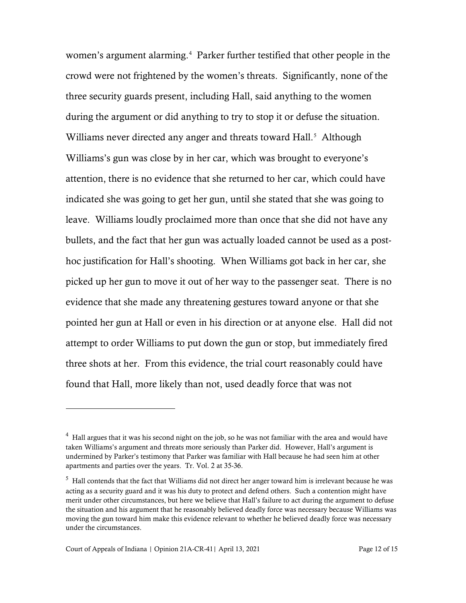women's argument alarming.<sup>[4](#page-11-0)</sup> Parker further testified that other people in the crowd were not frightened by the women's threats. Significantly, none of the three security guards present, including Hall, said anything to the women during the argument or did anything to try to stop it or defuse the situation. Williams never directed any anger and threats toward Hall.<sup>[5](#page-11-1)</sup> Although Williams's gun was close by in her car, which was brought to everyone's attention, there is no evidence that she returned to her car, which could have indicated she was going to get her gun, until she stated that she was going to leave. Williams loudly proclaimed more than once that she did not have any bullets, and the fact that her gun was actually loaded cannot be used as a posthoc justification for Hall's shooting. When Williams got back in her car, she picked up her gun to move it out of her way to the passenger seat. There is no evidence that she made any threatening gestures toward anyone or that she pointed her gun at Hall or even in his direction or at anyone else. Hall did not attempt to order Williams to put down the gun or stop, but immediately fired three shots at her. From this evidence, the trial court reasonably could have found that Hall, more likely than not, used deadly force that was not

<span id="page-11-0"></span> $4$  Hall argues that it was his second night on the job, so he was not familiar with the area and would have taken Williams's argument and threats more seriously than Parker did. However, Hall's argument is undermined by Parker's testimony that Parker was familiar with Hall because he had seen him at other apartments and parties over the years. Tr. Vol. 2 at 35-36.

<span id="page-11-1"></span> $<sup>5</sup>$  Hall contends that the fact that Williams did not direct her anger toward him is irrelevant because he was</sup> acting as a security guard and it was his duty to protect and defend others. Such a contention might have merit under other circumstances, but here we believe that Hall's failure to act during the argument to defuse the situation and his argument that he reasonably believed deadly force was necessary because Williams was moving the gun toward him make this evidence relevant to whether he believed deadly force was necessary under the circumstances.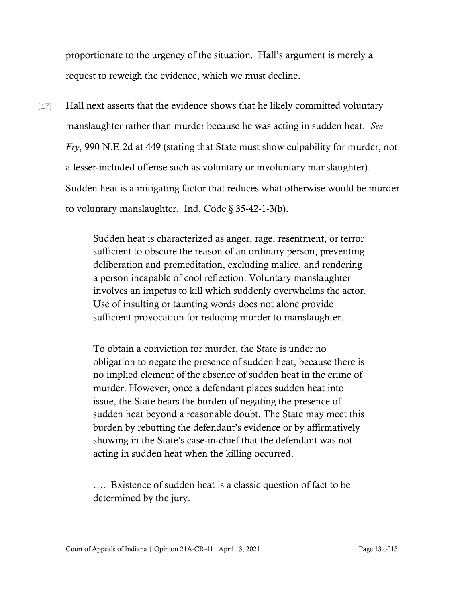proportionate to the urgency of the situation. Hall's argument is merely a request to reweigh the evidence, which we must decline.

[17] Hall next asserts that the evidence shows that he likely committed voluntary manslaughter rather than murder because he was acting in sudden heat. *See Fry*, 990 N.E.2d at 449 (stating that State must show culpability for murder, not a lesser-included offense such as voluntary or involuntary manslaughter). Sudden heat is a mitigating factor that reduces what otherwise would be murder to voluntary manslaughter. Ind. Code § 35-42-1-3(b).

> Sudden heat is characterized as anger, rage, resentment, or terror sufficient to obscure the reason of an ordinary person, preventing deliberation and premeditation, excluding malice, and rendering a person incapable of cool reflection. Voluntary manslaughter involves an impetus to kill which suddenly overwhelms the actor. Use of insulting or taunting words does not alone provide sufficient provocation for reducing murder to manslaughter.

> To obtain a conviction for murder, the State is under no obligation to negate the presence of sudden heat, because there is no implied element of the absence of sudden heat in the crime of murder. However, once a defendant places sudden heat into issue, the State bears the burden of negating the presence of sudden heat beyond a reasonable doubt. The State may meet this burden by rebutting the defendant's evidence or by affirmatively showing in the State's case-in-chief that the defendant was not acting in sudden heat when the killing occurred.

…. Existence of sudden heat is a classic question of fact to be determined by the jury.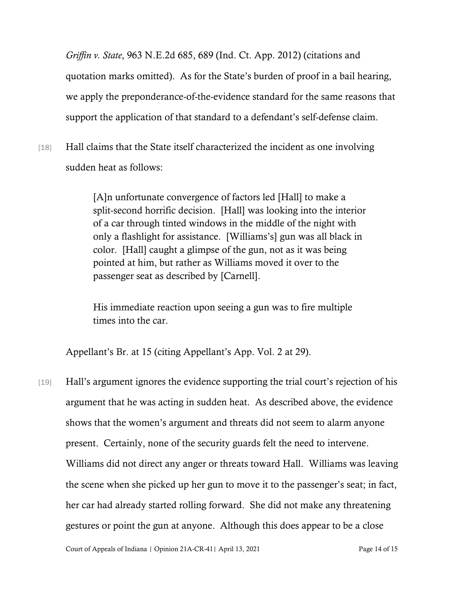*Griffin v. State*, 963 N.E.2d 685, 689 (Ind. Ct. App. 2012) (citations and quotation marks omitted). As for the State's burden of proof in a bail hearing, we apply the preponderance-of-the-evidence standard for the same reasons that support the application of that standard to a defendant's self-defense claim.

[18] Hall claims that the State itself characterized the incident as one involving sudden heat as follows:

> [A]n unfortunate convergence of factors led [Hall] to make a split-second horrific decision. [Hall] was looking into the interior of a car through tinted windows in the middle of the night with only a flashlight for assistance. [Williams's] gun was all black in color. [Hall] caught a glimpse of the gun, not as it was being pointed at him, but rather as Williams moved it over to the passenger seat as described by [Carnell].

His immediate reaction upon seeing a gun was to fire multiple times into the car.

Appellant's Br. at 15 (citing Appellant's App. Vol. 2 at 29).

[19] Hall's argument ignores the evidence supporting the trial court's rejection of his argument that he was acting in sudden heat. As described above, the evidence shows that the women's argument and threats did not seem to alarm anyone present. Certainly, none of the security guards felt the need to intervene. Williams did not direct any anger or threats toward Hall. Williams was leaving the scene when she picked up her gun to move it to the passenger's seat; in fact, her car had already started rolling forward. She did not make any threatening gestures or point the gun at anyone. Although this does appear to be a close